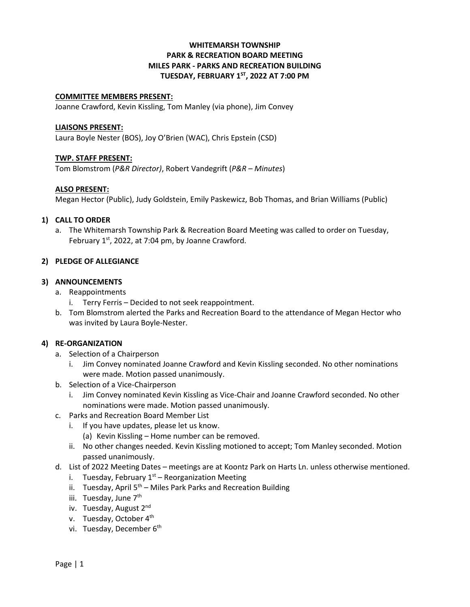# **WHITEMARSH TOWNSHIP PARK & RECREATION BOARD MEETING MILES PARK - PARKS AND RECREATION BUILDING TUESDAY, FEBRUARY 1ST, 2022 AT 7:00 PM**

#### **COMMITTEE MEMBERS PRESENT:**

Joanne Crawford, Kevin Kissling, Tom Manley (via phone), Jim Convey

#### **LIAISONS PRESENT:**

Laura Boyle Nester (BOS), Joy O'Brien (WAC), Chris Epstein (CSD)

### **TWP. STAFF PRESENT:**

Tom Blomstrom (*P&R Director)*, Robert Vandegrift (*P&R – Minutes*)

### **ALSO PRESENT:**

Megan Hector (Public), Judy Goldstein, Emily Paskewicz, Bob Thomas, and Brian Williams (Public)

### **1) CALL TO ORDER**

a. The Whitemarsh Township Park & Recreation Board Meeting was called to order on Tuesday, February  $1^{st}$ , 2022, at 7:04 pm, by Joanne Crawford.

### **2) PLEDGE OF ALLEGIANCE**

### **3) ANNOUNCEMENTS**

- a. Reappointments
	- i. Terry Ferris Decided to not seek reappointment.
- b. Tom Blomstrom alerted the Parks and Recreation Board to the attendance of Megan Hector who was invited by Laura Boyle-Nester.

## **4) RE-ORGANIZATION**

- a. Selection of a Chairperson
	- i. Jim Convey nominated Joanne Crawford and Kevin Kissling seconded. No other nominations were made. Motion passed unanimously.
- b. Selection of a Vice-Chairperson
	- i. Jim Convey nominated Kevin Kissling as Vice-Chair and Joanne Crawford seconded. No other nominations were made. Motion passed unanimously.
- c. Parks and Recreation Board Member List
	- i. If you have updates, please let us know.
		- (a) Kevin Kissling Home number can be removed.
	- ii. No other changes needed. Kevin Kissling motioned to accept; Tom Manley seconded. Motion passed unanimously.
- d. List of 2022 Meeting Dates meetings are at Koontz Park on Harts Ln. unless otherwise mentioned.
	- i. Tuesday, February  $1<sup>st</sup>$  Reorganization Meeting
	- ii. Tuesday, April  $5<sup>th</sup>$  Miles Park Parks and Recreation Building
	- iii. Tuesday, June 7<sup>th</sup>
	- iv. Tuesday, August 2<sup>nd</sup>
	- v. Tuesday, October 4<sup>th</sup>
	- vi. Tuesday, December 6<sup>th</sup>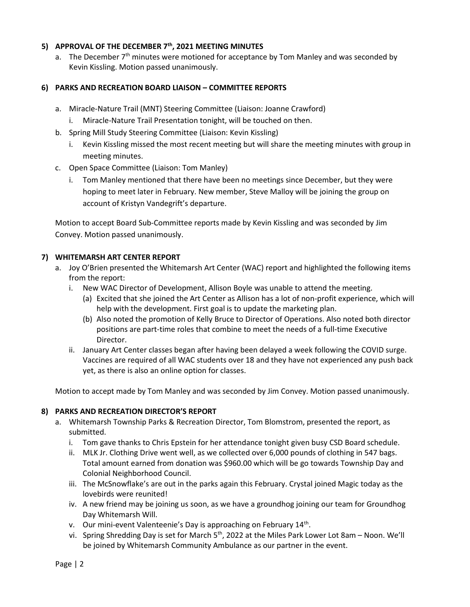# **5) APPROVAL OF THE DECEMBER 7th, 2021 MEETING MINUTES**

a. The December  $7<sup>th</sup>$  minutes were motioned for acceptance by Tom Manley and was seconded by Kevin Kissling. Motion passed unanimously.

## **6) PARKS AND RECREATION BOARD LIAISON – COMMITTEE REPORTS**

- a. Miracle-Nature Trail (MNT) Steering Committee (Liaison: Joanne Crawford)
	- i. Miracle-Nature Trail Presentation tonight, will be touched on then.
- b. Spring Mill Study Steering Committee (Liaison: Kevin Kissling)
	- i. Kevin Kissling missed the most recent meeting but will share the meeting minutes with group in meeting minutes.
- c. Open Space Committee (Liaison: Tom Manley)
	- i. Tom Manley mentioned that there have been no meetings since December, but they were hoping to meet later in February. New member, Steve Malloy will be joining the group on account of Kristyn Vandegrift's departure.

Motion to accept Board Sub-Committee reports made by Kevin Kissling and was seconded by Jim Convey. Motion passed unanimously.

## **7) WHITEMARSH ART CENTER REPORT**

- a. Joy O'Brien presented the Whitemarsh Art Center (WAC) report and highlighted the following items from the report:
	- i. New WAC Director of Development, Allison Boyle was unable to attend the meeting.
		- (a) Excited that she joined the Art Center as Allison has a lot of non-profit experience, which will help with the development. First goal is to update the marketing plan.
		- (b) Also noted the promotion of Kelly Bruce to Director of Operations. Also noted both director positions are part-time roles that combine to meet the needs of a full-time Executive Director.
	- ii. January Art Center classes began after having been delayed a week following the COVID surge. Vaccines are required of all WAC students over 18 and they have not experienced any push back yet, as there is also an online option for classes.

Motion to accept made by Tom Manley and was seconded by Jim Convey. Motion passed unanimously.

## **8) PARKS AND RECREATION DIRECTOR'S REPORT**

- a. Whitemarsh Township Parks & Recreation Director, Tom Blomstrom, presented the report, as submitted.
	- i. Tom gave thanks to Chris Epstein for her attendance tonight given busy CSD Board schedule.
	- ii. MLK Jr. Clothing Drive went well, as we collected over 6,000 pounds of clothing in 547 bags. Total amount earned from donation was \$960.00 which will be go towards Township Day and Colonial Neighborhood Council.
	- iii. The McSnowflake's are out in the parks again this February. Crystal joined Magic today as the lovebirds were reunited!
	- iv. A new friend may be joining us soon, as we have a groundhog joining our team for Groundhog Day Whitemarsh Will.
	- v. Our mini-event Valenteenie's Day is approaching on February 14<sup>th</sup>.
	- vi. Spring Shredding Day is set for March 5<sup>th</sup>, 2022 at the Miles Park Lower Lot 8am Noon. We'll be joined by Whitemarsh Community Ambulance as our partner in the event.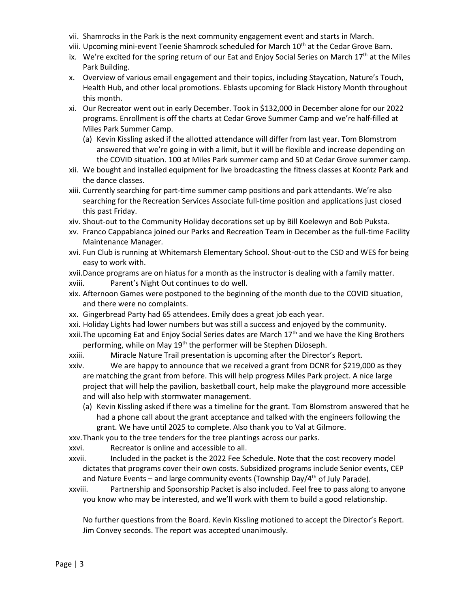- vii. Shamrocks in the Park is the next community engagement event and starts in March.
- viii. Upcoming mini-event Teenie Shamrock scheduled for March 10<sup>th</sup> at the Cedar Grove Barn.
- ix. We're excited for the spring return of our Eat and Enjoy Social Series on March  $17<sup>th</sup>$  at the Miles Park Building.
- x. Overview of various email engagement and their topics, including Staycation, Nature's Touch, Health Hub, and other local promotions. Eblasts upcoming for Black History Month throughout this month.
- xi. Our Recreator went out in early December. Took in \$132,000 in December alone for our 2022 programs. Enrollment is off the charts at Cedar Grove Summer Camp and we're half-filled at Miles Park Summer Camp.
	- (a) Kevin Kissling asked if the allotted attendance will differ from last year. Tom Blomstrom answered that we're going in with a limit, but it will be flexible and increase depending on the COVID situation. 100 at Miles Park summer camp and 50 at Cedar Grove summer camp.
- xii. We bought and installed equipment for live broadcasting the fitness classes at Koontz Park and the dance classes.
- xiii. Currently searching for part-time summer camp positions and park attendants. We're also searching for the Recreation Services Associate full-time position and applications just closed this past Friday.
- xiv. Shout-out to the Community Holiday decorations set up by Bill Koelewyn and Bob Puksta.
- xv. Franco Cappabianca joined our Parks and Recreation Team in December as the full-time Facility Maintenance Manager.
- xvi. Fun Club is running at Whitemarsh Elementary School. Shout-out to the CSD and WES for being easy to work with.
- xvii.Dance programs are on hiatus for a month as the instructor is dealing with a family matter.
- xviii. Parent's Night Out continues to do well.
- xix. Afternoon Games were postponed to the beginning of the month due to the COVID situation, and there were no complaints.
- xx. Gingerbread Party had 65 attendees. Emily does a great job each year.
- xxi. Holiday Lights had lower numbers but was still a success and enjoyed by the community.
- xxii. The upcoming Eat and Enjoy Social Series dates are March 17<sup>th</sup> and we have the King Brothers performing, while on May 19<sup>th</sup> the performer will be Stephen DiJoseph.
- xxiii. Miracle Nature Trail presentation is upcoming after the Director's Report.
- xxiv. We are happy to announce that we received a grant from DCNR for \$219,000 as they are matching the grant from before. This will help progress Miles Park project. A nice large project that will help the pavilion, basketball court, help make the playground more accessible and will also help with stormwater management.
	- (a) Kevin Kissling asked if there was a timeline for the grant. Tom Blomstrom answered that he had a phone call about the grant acceptance and talked with the engineers following the grant. We have until 2025 to complete. Also thank you to Val at Gilmore.

xxv.Thank you to the tree tenders for the tree plantings across our parks.

xxvi. Recreator is online and accessible to all.

- xxvii. Included in the packet is the 2022 Fee Schedule. Note that the cost recovery model dictates that programs cover their own costs. Subsidized programs include Senior events, CEP and Nature Events – and large community events (Township Day/4<sup>th</sup> of July Parade).
- xxviii. Partnership and Sponsorship Packet is also included. Feel free to pass along to anyone you know who may be interested, and we'll work with them to build a good relationship.

No further questions from the Board. Kevin Kissling motioned to accept the Director's Report. Jim Convey seconds. The report was accepted unanimously.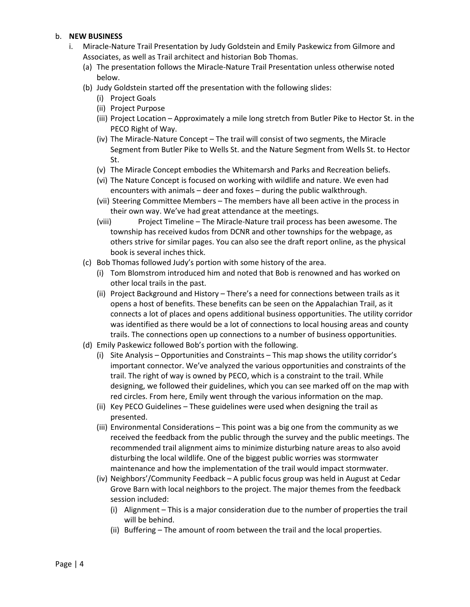## b. **NEW BUSINESS**

- i. Miracle-Nature Trail Presentation by Judy Goldstein and Emily Paskewicz from Gilmore and Associates, as well as Trail architect and historian Bob Thomas.
	- (a) The presentation follows the Miracle-Nature Trail Presentation unless otherwise noted below.
	- (b) Judy Goldstein started off the presentation with the following slides:
		- (i) Project Goals
		- (ii) Project Purpose
		- (iii) Project Location Approximately a mile long stretch from Butler Pike to Hector St. in the PECO Right of Way.
		- (iv) The Miracle-Nature Concept The trail will consist of two segments, the Miracle Segment from Butler Pike to Wells St. and the Nature Segment from Wells St. to Hector St.
		- (v) The Miracle Concept embodies the Whitemarsh and Parks and Recreation beliefs.
		- (vi) The Nature Concept is focused on working with wildlife and nature. We even had encounters with animals – deer and foxes – during the public walkthrough.
		- (vii) Steering Committee Members The members have all been active in the process in their own way. We've had great attendance at the meetings.
		- (viii) Project Timeline The Miracle-Nature trail process has been awesome. The township has received kudos from DCNR and other townships for the webpage, as others strive for similar pages. You can also see the draft report online, as the physical book is several inches thick.
	- (c) Bob Thomas followed Judy's portion with some history of the area.
		- (i) Tom Blomstrom introduced him and noted that Bob is renowned and has worked on other local trails in the past.
		- (ii) Project Background and History There's a need for connections between trails as it opens a host of benefits. These benefits can be seen on the Appalachian Trail, as it connects a lot of places and opens additional business opportunities. The utility corridor was identified as there would be a lot of connections to local housing areas and county trails. The connections open up connections to a number of business opportunities.
	- (d) Emily Paskewicz followed Bob's portion with the following.
		- (i) Site Analysis Opportunities and Constraints This map shows the utility corridor's important connector. We've analyzed the various opportunities and constraints of the trail. The right of way is owned by PECO, which is a constraint to the trail. While designing, we followed their guidelines, which you can see marked off on the map with red circles. From here, Emily went through the various information on the map.
		- (ii) Key PECO Guidelines These guidelines were used when designing the trail as presented.
		- (iii) Environmental Considerations This point was a big one from the community as we received the feedback from the public through the survey and the public meetings. The recommended trail alignment aims to minimize disturbing nature areas to also avoid disturbing the local wildlife. One of the biggest public worries was stormwater maintenance and how the implementation of the trail would impact stormwater.
		- (iv) Neighbors'/Community Feedback A public focus group was held in August at Cedar Grove Barn with local neighbors to the project. The major themes from the feedback session included:
			- (i) Alignment This is a major consideration due to the number of properties the trail will be behind.
			- (ii) Buffering The amount of room between the trail and the local properties.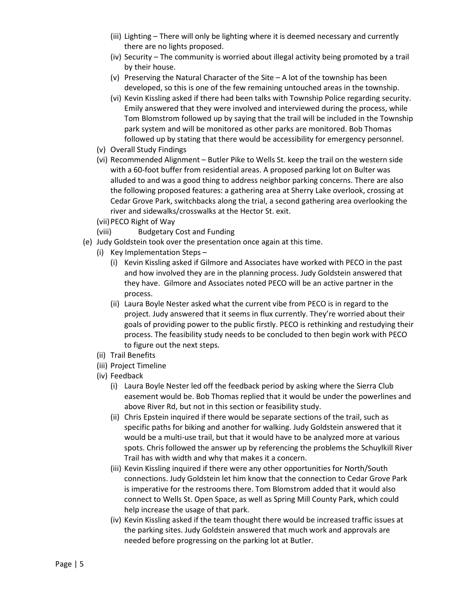- (iii) Lighting There will only be lighting where it is deemed necessary and currently there are no lights proposed.
- (iv) Security The community is worried about illegal activity being promoted by a trail by their house.
- (v) Preserving the Natural Character of the Site A lot of the township has been developed, so this is one of the few remaining untouched areas in the township.
- (vi) Kevin Kissling asked if there had been talks with Township Police regarding security. Emily answered that they were involved and interviewed during the process, while Tom Blomstrom followed up by saying that the trail will be included in the Township park system and will be monitored as other parks are monitored. Bob Thomas followed up by stating that there would be accessibility for emergency personnel.
- (v) Overall Study Findings
- (vi) Recommended Alignment Butler Pike to Wells St. keep the trail on the western side with a 60-foot buffer from residential areas. A proposed parking lot on Bulter was alluded to and was a good thing to address neighbor parking concerns. There are also the following proposed features: a gathering area at Sherry Lake overlook, crossing at Cedar Grove Park, switchbacks along the trial, a second gathering area overlooking the river and sidewalks/crosswalks at the Hector St. exit.
- (vii)PECO Right of Way
- (viii) Budgetary Cost and Funding
- (e) Judy Goldstein took over the presentation once again at this time.
	- (i) Key Implementation Steps
		- (i) Kevin Kissling asked if Gilmore and Associates have worked with PECO in the past and how involved they are in the planning process. Judy Goldstein answered that they have. Gilmore and Associates noted PECO will be an active partner in the process.
		- (ii) Laura Boyle Nester asked what the current vibe from PECO is in regard to the project. Judy answered that it seems in flux currently. They're worried about their goals of providing power to the public firstly. PECO is rethinking and restudying their process. The feasibility study needs to be concluded to then begin work with PECO to figure out the next steps.
	- (ii) Trail Benefits
	- (iii) Project Timeline
	- (iv) Feedback
		- (i) Laura Boyle Nester led off the feedback period by asking where the Sierra Club easement would be. Bob Thomas replied that it would be under the powerlines and above River Rd, but not in this section or feasibility study.
		- (ii) Chris Epstein inquired if there would be separate sections of the trail, such as specific paths for biking and another for walking. Judy Goldstein answered that it would be a multi-use trail, but that it would have to be analyzed more at various spots. Chris followed the answer up by referencing the problems the Schuylkill River Trail has with width and why that makes it a concern.
		- (iii) Kevin Kissling inquired if there were any other opportunities for North/South connections. Judy Goldstein let him know that the connection to Cedar Grove Park is imperative for the restrooms there. Tom Blomstrom added that it would also connect to Wells St. Open Space, as well as Spring Mill County Park, which could help increase the usage of that park.
		- (iv) Kevin Kissling asked if the team thought there would be increased traffic issues at the parking sites. Judy Goldstein answered that much work and approvals are needed before progressing on the parking lot at Butler.